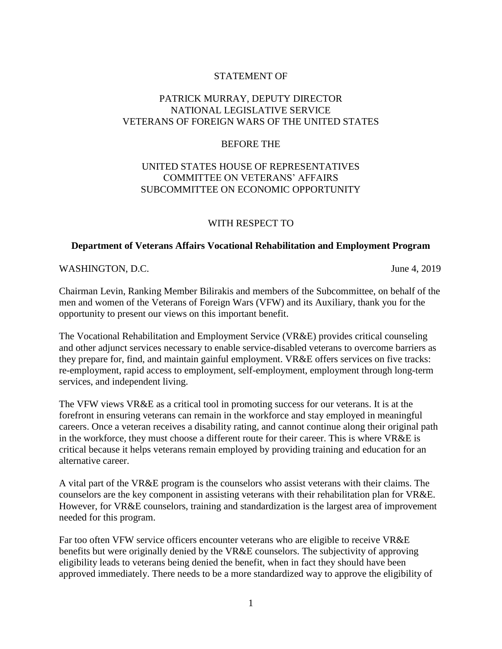## STATEMENT OF

# PATRICK MURRAY, DEPUTY DIRECTOR NATIONAL LEGISLATIVE SERVICE VETERANS OF FOREIGN WARS OF THE UNITED STATES

### BEFORE THE

## UNITED STATES HOUSE OF REPRESENTATIVES COMMITTEE ON VETERANS' AFFAIRS SUBCOMMITTEE ON ECONOMIC OPPORTUNITY

#### WITH RESPECT TO

#### **Department of Veterans Affairs Vocational Rehabilitation and Employment Program**

#### WASHINGTON, D.C. June 4, 2019

Chairman Levin, Ranking Member Bilirakis and members of the Subcommittee, on behalf of the men and women of the Veterans of Foreign Wars (VFW) and its Auxiliary, thank you for the opportunity to present our views on this important benefit.

The Vocational Rehabilitation and Employment Service (VR&E) provides critical counseling and other adjunct services necessary to enable service-disabled veterans to overcome barriers as they prepare for, find, and maintain gainful employment. VR&E offers services on five tracks: re-employment, rapid access to employment, self-employment, employment through long-term services, and independent living.

The VFW views VR&E as a critical tool in promoting success for our veterans. It is at the forefront in ensuring veterans can remain in the workforce and stay employed in meaningful careers. Once a veteran receives a disability rating, and cannot continue along their original path in the workforce, they must choose a different route for their career. This is where VR&E is critical because it helps veterans remain employed by providing training and education for an alternative career.

A vital part of the VR&E program is the counselors who assist veterans with their claims. The counselors are the key component in assisting veterans with their rehabilitation plan for VR&E. However, for VR&E counselors, training and standardization is the largest area of improvement needed for this program.

Far too often VFW service officers encounter veterans who are eligible to receive VR&E benefits but were originally denied by the VR&E counselors. The subjectivity of approving eligibility leads to veterans being denied the benefit, when in fact they should have been approved immediately. There needs to be a more standardized way to approve the eligibility of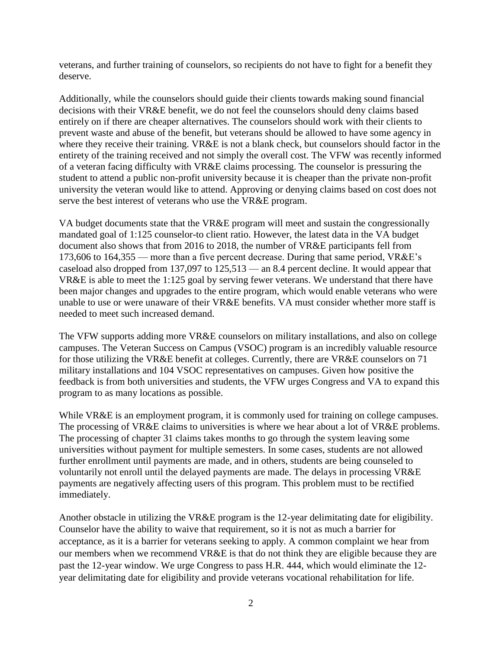veterans, and further training of counselors, so recipients do not have to fight for a benefit they deserve.

Additionally, while the counselors should guide their clients towards making sound financial decisions with their VR&E benefit, we do not feel the counselors should deny claims based entirely on if there are cheaper alternatives. The counselors should work with their clients to prevent waste and abuse of the benefit, but veterans should be allowed to have some agency in where they receive their training. VR&E is not a blank check, but counselors should factor in the entirety of the training received and not simply the overall cost. The VFW was recently informed of a veteran facing difficulty with VR&E claims processing. The counselor is pressuring the student to attend a public non-profit university because it is cheaper than the private non-profit university the veteran would like to attend. Approving or denying claims based on cost does not serve the best interest of veterans who use the VR&E program.

VA budget documents state that the VR&E program will meet and sustain the congressionally mandated goal of 1:125 counselor-to client ratio. However, the latest data in the VA budget document also shows that from 2016 to 2018, the number of VR&E participants fell from 173,606 to 164,355 –– more than a five percent decrease. During that same period, VR&E's caseload also dropped from 137,097 to 125,513 –– an 8.4 percent decline. It would appear that VR&E is able to meet the 1:125 goal by serving fewer veterans. We understand that there have been major changes and upgrades to the entire program, which would enable veterans who were unable to use or were unaware of their VR&E benefits. VA must consider whether more staff is needed to meet such increased demand.

The VFW supports adding more VR&E counselors on military installations, and also on college campuses. The Veteran Success on Campus (VSOC) program is an incredibly valuable resource for those utilizing the VR&E benefit at colleges. Currently, there are VR&E counselors on 71 military installations and 104 VSOC representatives on campuses. Given how positive the feedback is from both universities and students, the VFW urges Congress and VA to expand this program to as many locations as possible.

While VR&E is an employment program, it is commonly used for training on college campuses. The processing of VR&E claims to universities is where we hear about a lot of VR&E problems. The processing of chapter 31 claims takes months to go through the system leaving some universities without payment for multiple semesters. In some cases, students are not allowed further enrollment until payments are made, and in others, students are being counseled to voluntarily not enroll until the delayed payments are made. The delays in processing VR&E payments are negatively affecting users of this program. This problem must to be rectified immediately.

Another obstacle in utilizing the VR&E program is the 12-year delimitating date for eligibility. Counselor have the ability to waive that requirement, so it is not as much a barrier for acceptance, as it is a barrier for veterans seeking to apply. A common complaint we hear from our members when we recommend VR&E is that do not think they are eligible because they are past the 12-year window. We urge Congress to pass H.R. 444, which would eliminate the 12 year delimitating date for eligibility and provide veterans vocational rehabilitation for life.